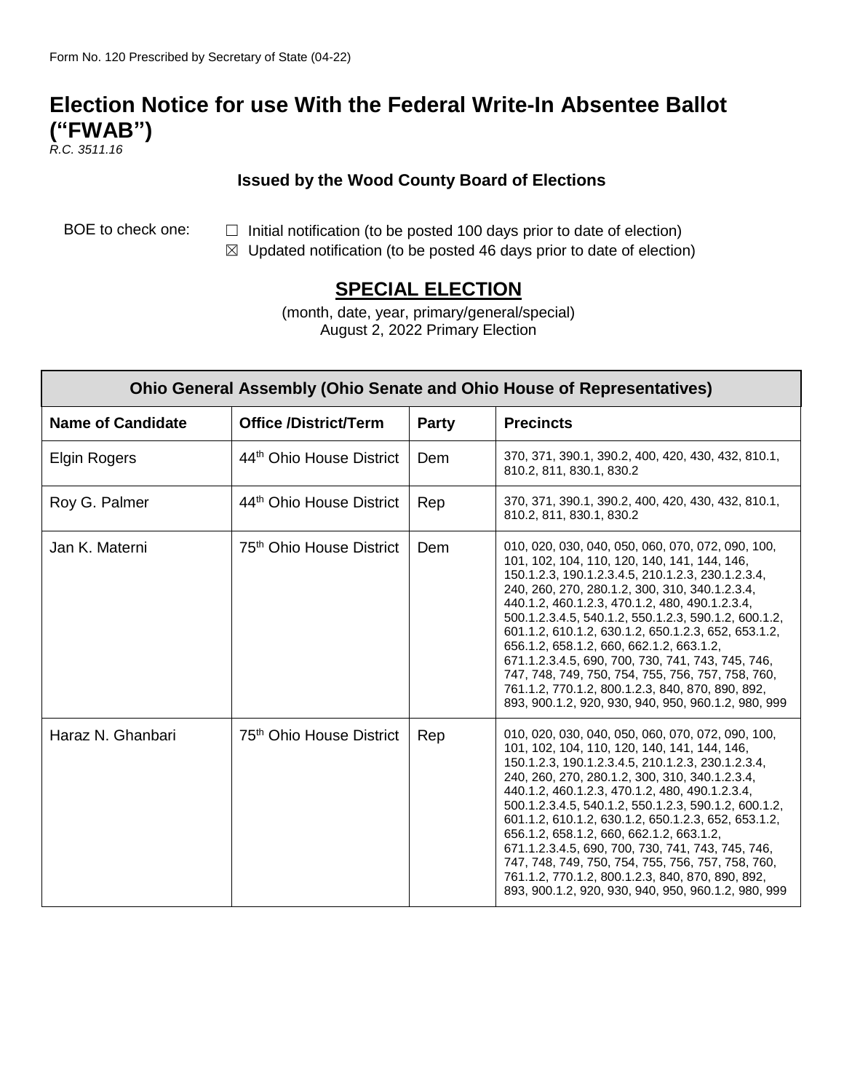## **Election Notice for use With the Federal Write-In Absentee Ballot ("FWAB")**

*R.C. 3511.16*

## **Issued by the Wood County Board of Elections**

- BOE to check one:  $\Box$  Initial notification (to be posted 100 days prior to date of election)
	- $\boxtimes$  Updated notification (to be posted 46 days prior to date of election)

## **SPECIAL ELECTION**

(month, date, year, primary/general/special) August 2, 2022 Primary Election

| <b>Ohio General Assembly (Ohio Senate and Ohio House of Representatives)</b> |                                      |              |                                                                                                                                                                                                                                                                                                                                                                                                                                                                                                                                                                                                                                            |  |
|------------------------------------------------------------------------------|--------------------------------------|--------------|--------------------------------------------------------------------------------------------------------------------------------------------------------------------------------------------------------------------------------------------------------------------------------------------------------------------------------------------------------------------------------------------------------------------------------------------------------------------------------------------------------------------------------------------------------------------------------------------------------------------------------------------|--|
| <b>Name of Candidate</b>                                                     | <b>Office /District/Term</b>         | <b>Party</b> | <b>Precincts</b>                                                                                                                                                                                                                                                                                                                                                                                                                                                                                                                                                                                                                           |  |
| <b>Elgin Rogers</b>                                                          | 44th Ohio House District             | Dem          | 370, 371, 390.1, 390.2, 400, 420, 430, 432, 810.1,<br>810.2, 811, 830.1, 830.2                                                                                                                                                                                                                                                                                                                                                                                                                                                                                                                                                             |  |
| Roy G. Palmer                                                                | 44th Ohio House District             | Rep          | 370, 371, 390.1, 390.2, 400, 420, 430, 432, 810.1,<br>810.2, 811, 830.1, 830.2                                                                                                                                                                                                                                                                                                                                                                                                                                                                                                                                                             |  |
| Jan K. Materni                                                               | 75 <sup>th</sup> Ohio House District | Dem          | 010, 020, 030, 040, 050, 060, 070, 072, 090, 100,<br>101, 102, 104, 110, 120, 140, 141, 144, 146,<br>150.1.2.3, 190.1.2.3.4.5, 210.1.2.3, 230.1.2.3.4,<br>240, 260, 270, 280.1.2, 300, 310, 340.1.2.3.4,<br>440.1.2, 460.1.2.3, 470.1.2, 480, 490.1.2.3.4,<br>500.1.2.3.4.5, 540.1.2, 550.1.2.3, 590.1.2, 600.1.2,<br>601.1.2, 610.1.2, 630.1.2, 650.1.2.3, 652, 653.1.2,<br>656.1.2, 658.1.2, 660, 662.1.2, 663.1.2,<br>671.1.2.3.4.5, 690, 700, 730, 741, 743, 745, 746,<br>747, 748, 749, 750, 754, 755, 756, 757, 758, 760,<br>761.1.2, 770.1.2, 800.1.2.3, 840, 870, 890, 892,<br>893, 900.1.2, 920, 930, 940, 950, 960.1.2, 980, 999 |  |
| Haraz N. Ghanbari                                                            | 75 <sup>th</sup> Ohio House District | Rep          | 010, 020, 030, 040, 050, 060, 070, 072, 090, 100,<br>101, 102, 104, 110, 120, 140, 141, 144, 146,<br>150.1.2.3, 190.1.2.3.4.5, 210.1.2.3, 230.1.2.3.4,<br>240, 260, 270, 280.1.2, 300, 310, 340.1.2.3.4,<br>440.1.2, 460.1.2.3, 470.1.2, 480, 490.1.2.3.4,<br>500.1.2.3.4.5, 540.1.2, 550.1.2.3, 590.1.2, 600.1.2,<br>601.1.2, 610.1.2, 630.1.2, 650.1.2.3, 652, 653.1.2,<br>656.1.2, 658.1.2, 660, 662.1.2, 663.1.2,<br>671.1.2.3.4.5, 690, 700, 730, 741, 743, 745, 746,<br>747, 748, 749, 750, 754, 755, 756, 757, 758, 760,<br>761.1.2, 770.1.2, 800.1.2.3, 840, 870, 890, 892,<br>893, 900.1.2, 920, 930, 940, 950, 960.1.2, 980, 999 |  |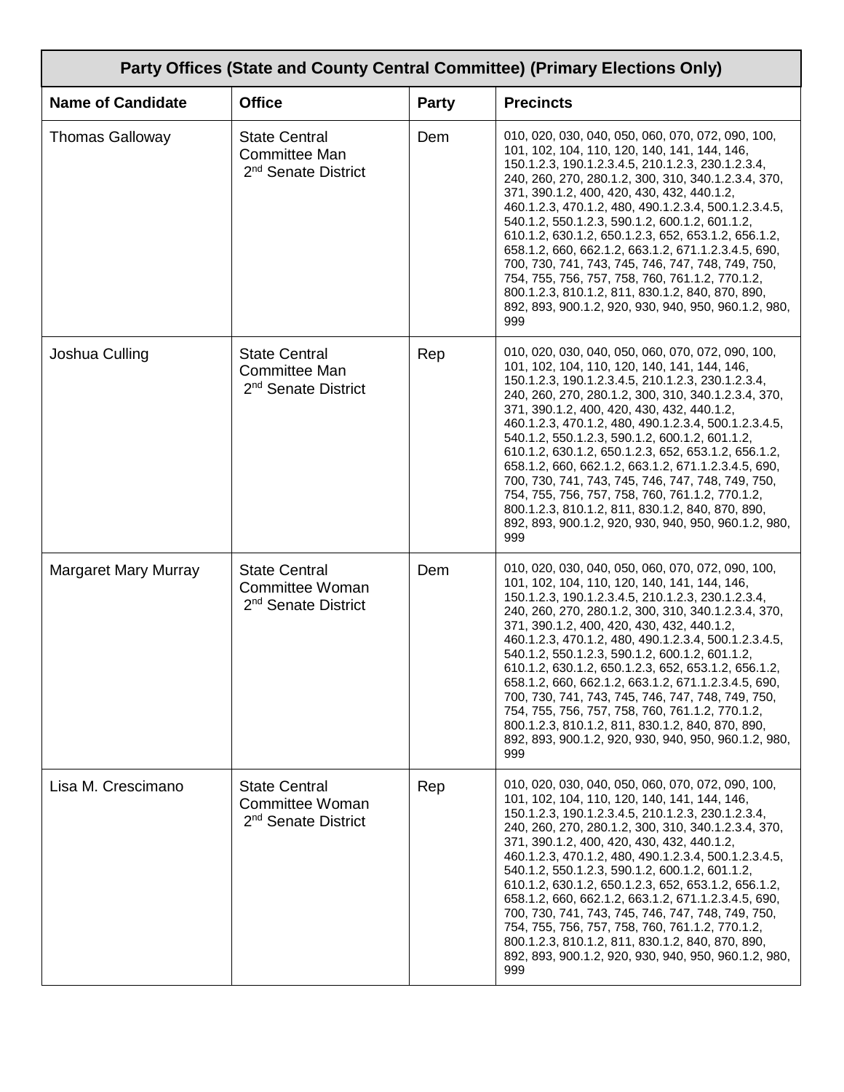| Party Offices (State and County Central Committee) (Primary Elections Only) |                                                                                 |       |                                                                                                                                                                                                                                                                                                                                                                                                                                                                                                                                                                                                                                                                                                                |  |
|-----------------------------------------------------------------------------|---------------------------------------------------------------------------------|-------|----------------------------------------------------------------------------------------------------------------------------------------------------------------------------------------------------------------------------------------------------------------------------------------------------------------------------------------------------------------------------------------------------------------------------------------------------------------------------------------------------------------------------------------------------------------------------------------------------------------------------------------------------------------------------------------------------------------|--|
| <b>Name of Candidate</b>                                                    | <b>Office</b>                                                                   | Party | <b>Precincts</b>                                                                                                                                                                                                                                                                                                                                                                                                                                                                                                                                                                                                                                                                                               |  |
| <b>Thomas Galloway</b>                                                      | <b>State Central</b><br><b>Committee Man</b><br>2 <sup>nd</sup> Senate District | Dem   | 010, 020, 030, 040, 050, 060, 070, 072, 090, 100,<br>101, 102, 104, 110, 120, 140, 141, 144, 146,<br>150.1.2.3, 190.1.2.3.4.5, 210.1.2.3, 230.1.2.3.4,<br>240, 260, 270, 280.1.2, 300, 310, 340.1.2.3.4, 370,<br>371, 390.1.2, 400, 420, 430, 432, 440.1.2,<br>460.1.2.3, 470.1.2, 480, 490.1.2.3.4, 500.1.2.3.4.5,<br>540.1.2, 550.1.2.3, 590.1.2, 600.1.2, 601.1.2,<br>610.1.2, 630.1.2, 650.1.2.3, 652, 653.1.2, 656.1.2,<br>658.1.2, 660, 662.1.2, 663.1.2, 671.1.2.3.4.5, 690,<br>700, 730, 741, 743, 745, 746, 747, 748, 749, 750,<br>754, 755, 756, 757, 758, 760, 761.1.2, 770.1.2,<br>800.1.2.3, 810.1.2, 811, 830.1.2, 840, 870, 890,<br>892, 893, 900.1.2, 920, 930, 940, 950, 960.1.2, 980,<br>999 |  |
| Joshua Culling                                                              | <b>State Central</b><br><b>Committee Man</b><br>2 <sup>nd</sup> Senate District | Rep   | 010, 020, 030, 040, 050, 060, 070, 072, 090, 100,<br>101, 102, 104, 110, 120, 140, 141, 144, 146,<br>150.1.2.3, 190.1.2.3.4.5, 210.1.2.3, 230.1.2.3.4,<br>240, 260, 270, 280.1.2, 300, 310, 340.1.2.3.4, 370,<br>371, 390.1.2, 400, 420, 430, 432, 440.1.2,<br>460.1.2.3, 470.1.2, 480, 490.1.2.3.4, 500.1.2.3.4.5,<br>540.1.2, 550.1.2.3, 590.1.2, 600.1.2, 601.1.2,<br>610.1.2, 630.1.2, 650.1.2.3, 652, 653.1.2, 656.1.2,<br>658.1.2, 660, 662.1.2, 663.1.2, 671.1.2.3.4.5, 690,<br>700, 730, 741, 743, 745, 746, 747, 748, 749, 750,<br>754, 755, 756, 757, 758, 760, 761.1.2, 770.1.2,<br>800.1.2.3, 810.1.2, 811, 830.1.2, 840, 870, 890,<br>892, 893, 900.1.2, 920, 930, 940, 950, 960.1.2, 980,<br>999 |  |
| <b>Margaret Mary Murray</b>                                                 | <b>State Central</b><br>Committee Woman<br>2 <sup>nd</sup> Senate District      | Dem   | 010, 020, 030, 040, 050, 060, 070, 072, 090, 100,<br>101, 102, 104, 110, 120, 140, 141, 144, 146,<br>150.1.2.3, 190.1.2.3.4.5, 210.1.2.3, 230.1.2.3.4,<br>240, 260, 270, 280.1.2, 300, 310, 340.1.2.3.4, 370,<br>371, 390.1.2, 400, 420, 430, 432, 440.1.2,<br>460.1.2.3, 470.1.2, 480, 490.1.2.3.4, 500.1.2.3.4.5,<br>540.1.2, 550.1.2.3, 590.1.2, 600.1.2, 601.1.2,<br>610.1.2, 630.1.2, 650.1.2.3, 652, 653.1.2, 656.1.2,<br>658.1.2, 660, 662.1.2, 663.1.2, 671.1.2.3.4.5, 690,<br>700, 730, 741, 743, 745, 746, 747, 748, 749, 750,<br>754, 755, 756, 757, 758, 760, 761.1.2, 770.1.2,<br>800.1.2.3, 810.1.2, 811, 830.1.2, 840, 870, 890,<br>892, 893, 900.1.2, 920, 930, 940, 950, 960.1.2, 980,<br>999 |  |
| Lisa M. Crescimano                                                          | <b>State Central</b><br>Committee Woman<br>2 <sup>nd</sup> Senate District      | Rep   | 010, 020, 030, 040, 050, 060, 070, 072, 090, 100,<br>101, 102, 104, 110, 120, 140, 141, 144, 146,<br>150.1.2.3, 190.1.2.3.4.5, 210.1.2.3, 230.1.2.3.4,<br>240, 260, 270, 280.1.2, 300, 310, 340.1.2.3.4, 370,<br>371, 390.1.2, 400, 420, 430, 432, 440.1.2,<br>460.1.2.3, 470.1.2, 480, 490.1.2.3.4, 500.1.2.3.4.5,<br>540.1.2, 550.1.2.3, 590.1.2, 600.1.2, 601.1.2,<br>610.1.2, 630.1.2, 650.1.2.3, 652, 653.1.2, 656.1.2,<br>658.1.2, 660, 662.1.2, 663.1.2, 671.1.2.3.4.5, 690,<br>700, 730, 741, 743, 745, 746, 747, 748, 749, 750,<br>754, 755, 756, 757, 758, 760, 761.1.2, 770.1.2,<br>800.1.2.3, 810.1.2, 811, 830.1.2, 840, 870, 890,<br>892, 893, 900.1.2, 920, 930, 940, 950, 960.1.2, 980,<br>999 |  |